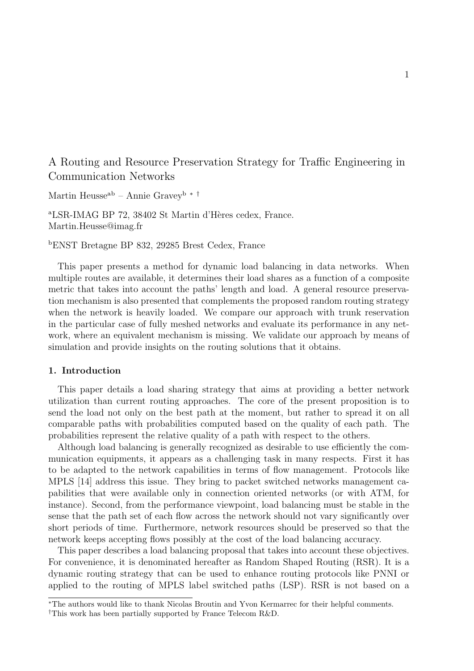# A Routing and Resource Preservation Strategy for Traffic Engineering in Communication Networks

Martin Heusse $^{ab}$  – Annie Graveyb  $*$  †

<sup>a</sup>LSR-IMAG BP 72, 38402 St Martin d'Hères cedex, France. Martin.Heusse@imag.fr

<sup>b</sup>ENST Bretagne BP 832, 29285 Brest Cedex, France

This paper presents a method for dynamic load balancing in data networks. When multiple routes are available, it determines their load shares as a function of a composite metric that takes into account the paths' length and load. A general resource preservation mechanism is also presented that complements the proposed random routing strategy when the network is heavily loaded. We compare our approach with trunk reservation in the particular case of fully meshed networks and evaluate its performance in any network, where an equivalent mechanism is missing. We validate our approach by means of simulation and provide insights on the routing solutions that it obtains.

#### 1. Introduction

This paper details a load sharing strategy that aims at providing a better network utilization than current routing approaches. The core of the present proposition is to send the load not only on the best path at the moment, but rather to spread it on all comparable paths with probabilities computed based on the quality of each path. The probabilities represent the relative quality of a path with respect to the others.

Although load balancing is generally recognized as desirable to use efficiently the communication equipments, it appears as a challenging task in many respects. First it has to be adapted to the network capabilities in terms of flow management. Protocols like MPLS [14] address this issue. They bring to packet switched networks management capabilities that were available only in connection oriented networks (or with ATM, for instance). Second, from the performance viewpoint, load balancing must be stable in the sense that the path set of each flow across the network should not vary significantly over short periods of time. Furthermore, network resources should be preserved so that the network keeps accepting flows possibly at the cost of the load balancing accuracy.

This paper describes a load balancing proposal that takes into account these objectives. For convenience, it is denominated hereafter as Random Shaped Routing (RSR). It is a dynamic routing strategy that can be used to enhance routing protocols like PNNI or applied to the routing of MPLS label switched paths (LSP). RSR is not based on a

<sup>∗</sup>The authors would like to thank Nicolas Broutin and Yvon Kermarrec for their helpful comments.

<sup>†</sup>This work has been partially supported by France Telecom R&D.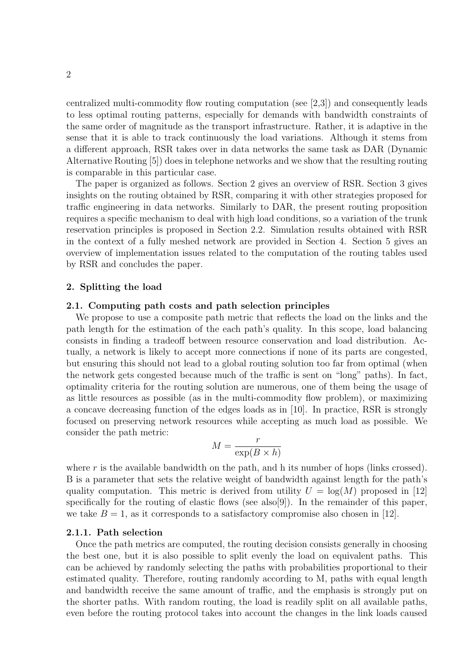centralized multi-commodity flow routing computation (see [2,3]) and consequently leads to less optimal routing patterns, especially for demands with bandwidth constraints of the same order of magnitude as the transport infrastructure. Rather, it is adaptive in the sense that it is able to track continuously the load variations. Although it stems from a different approach, RSR takes over in data networks the same task as DAR (Dynamic Alternative Routing [5]) does in telephone networks and we show that the resulting routing is comparable in this particular case.

The paper is organized as follows. Section 2 gives an overview of RSR. Section 3 gives insights on the routing obtained by RSR, comparing it with other strategies proposed for traffic engineering in data networks. Similarly to DAR, the present routing proposition requires a specific mechanism to deal with high load conditions, so a variation of the trunk reservation principles is proposed in Section 2.2. Simulation results obtained with RSR in the context of a fully meshed network are provided in Section 4. Section 5 gives an overview of implementation issues related to the computation of the routing tables used by RSR and concludes the paper.

#### 2. Splitting the load

#### 2.1. Computing path costs and path selection principles

We propose to use a composite path metric that reflects the load on the links and the path length for the estimation of the each path's quality. In this scope, load balancing consists in finding a tradeoff between resource conservation and load distribution. Actually, a network is likely to accept more connections if none of its parts are congested, but ensuring this should not lead to a global routing solution too far from optimal (when the network gets congested because much of the traffic is sent on "long" paths). In fact, optimality criteria for the routing solution are numerous, one of them being the usage of as little resources as possible (as in the multi-commodity flow problem), or maximizing a concave decreasing function of the edges loads as in [10]. In practice, RSR is strongly focused on preserving network resources while accepting as much load as possible. We consider the path metric:

$$
M = \frac{r}{\exp(B \times h)}
$$

where  $r$  is the available bandwidth on the path, and h its number of hops (links crossed). B is a parameter that sets the relative weight of bandwidth against length for the path's quality computation. This metric is derived from utility  $U = \log(M)$  proposed in [12] specifically for the routing of elastic flows (see also[9]). In the remainder of this paper, we take  $B = 1$ , as it corresponds to a satisfactory compromise also chosen in [12].

# 2.1.1. Path selection

Once the path metrics are computed, the routing decision consists generally in choosing the best one, but it is also possible to split evenly the load on equivalent paths. This can be achieved by randomly selecting the paths with probabilities proportional to their estimated quality. Therefore, routing randomly according to M, paths with equal length and bandwidth receive the same amount of traffic, and the emphasis is strongly put on the shorter paths. With random routing, the load is readily split on all available paths, even before the routing protocol takes into account the changes in the link loads caused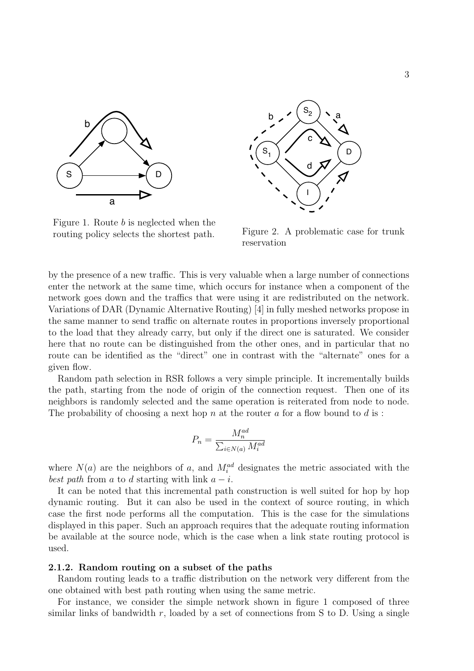

Figure 1. Route b is neglected when the routing policy selects the shortest path.



Figure 2. A problematic case for trunk reservation

by the presence of a new traffic. This is very valuable when a large number of connections enter the network at the same time, which occurs for instance when a component of the network goes down and the traffics that were using it are redistributed on the network. Variations of DAR (Dynamic Alternative Routing) [4] in fully meshed networks propose in the same manner to send traffic on alternate routes in proportions inversely proportional to the load that they already carry, but only if the direct one is saturated. We consider here that no route can be distinguished from the other ones, and in particular that no route can be identified as the "direct" one in contrast with the "alternate" ones for a given flow.

Random path selection in RSR follows a very simple principle. It incrementally builds the path, starting from the node of origin of the connection request. Then one of its neighbors is randomly selected and the same operation is reiterated from node to node. The probability of choosing a next hop n at the router a for a flow bound to  $d$  is:

$$
P_n = \frac{M_n^{ad}}{\sum_{i \in N(a)} M_i^{ad}}
$$

where  $N(a)$  are the neighbors of a, and  $M_i^{ad}$  designates the metric associated with the best path from a to d starting with link  $a - i$ .

It can be noted that this incremental path construction is well suited for hop by hop dynamic routing. But it can also be used in the context of source routing, in which case the first node performs all the computation. This is the case for the simulations displayed in this paper. Such an approach requires that the adequate routing information be available at the source node, which is the case when a link state routing protocol is used.

### 2.1.2. Random routing on a subset of the paths

Random routing leads to a traffic distribution on the network very different from the one obtained with best path routing when using the same metric.

For instance, we consider the simple network shown in figure 1 composed of three similar links of bandwidth  $r$ , loaded by a set of connections from S to D. Using a single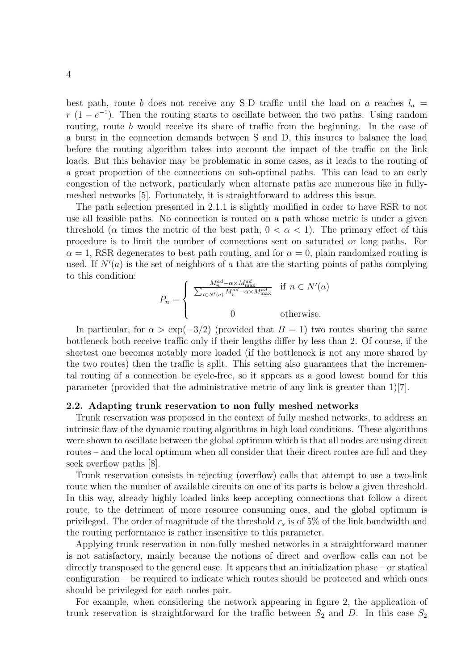best path, route b does not receive any S-D traffic until the load on a reaches  $l_a$  =  $r(1-e^{-1})$ . Then the routing starts to oscillate between the two paths. Using random routing, route b would receive its share of traffic from the beginning. In the case of a burst in the connection demands between S and D, this insures to balance the load before the routing algorithm takes into account the impact of the traffic on the link loads. But this behavior may be problematic in some cases, as it leads to the routing of a great proportion of the connections on sub-optimal paths. This can lead to an early congestion of the network, particularly when alternate paths are numerous like in fullymeshed networks [5]. Fortunately, it is straightforward to address this issue.

The path selection presented in 2.1.1 is slightly modified in order to have RSR to not use all feasible paths. No connection is routed on a path whose metric is under a given threshold ( $\alpha$  times the metric of the best path,  $0 < \alpha < 1$ ). The primary effect of this procedure is to limit the number of connections sent on saturated or long paths. For  $\alpha = 1$ , RSR degenerates to best path routing, and for  $\alpha = 0$ , plain randomized routing is used. If  $N'(a)$  is the set of neighbors of a that are the starting points of paths complying to this condition:

$$
P_n = \begin{cases} \frac{M_n^{ad} - \alpha \times M_{\text{max}}^{ad}}{\sum_{i \in N'(a)} M_i^{ad} - \alpha \times M_{\text{max}}^{ad}}} & \text{if } n \in N'(a) \\ 0 & \text{otherwise.} \end{cases}
$$

In particular, for  $\alpha > \exp(-3/2)$  (provided that  $B = 1$ ) two routes sharing the same bottleneck both receive traffic only if their lengths differ by less than 2. Of course, if the shortest one becomes notably more loaded (if the bottleneck is not any more shared by the two routes) then the traffic is split. This setting also guarantees that the incremental routing of a connection be cycle-free, so it appears as a good lowest bound for this parameter (provided that the administrative metric of any link is greater than 1)[7].

# 2.2. Adapting trunk reservation to non fully meshed networks

Trunk reservation was proposed in the context of fully meshed networks, to address an intrinsic flaw of the dynamic routing algorithms in high load conditions. These algorithms were shown to oscillate between the global optimum which is that all nodes are using direct routes – and the local optimum when all consider that their direct routes are full and they seek overflow paths [8].

Trunk reservation consists in rejecting (overflow) calls that attempt to use a two-link route when the number of available circuits on one of its parts is below a given threshold. In this way, already highly loaded links keep accepting connections that follow a direct route, to the detriment of more resource consuming ones, and the global optimum is privileged. The order of magnitude of the threshold  $r_s$  is of 5% of the link bandwidth and the routing performance is rather insensitive to this parameter.

Applying trunk reservation in non-fully meshed networks in a straightforward manner is not satisfactory, mainly because the notions of direct and overflow calls can not be directly transposed to the general case. It appears that an initialization phase – or statical configuration – be required to indicate which routes should be protected and which ones should be privileged for each nodes pair.

For example, when considering the network appearing in figure 2, the application of trunk reservation is straightforward for the traffic between  $S_2$  and D. In this case  $S_2$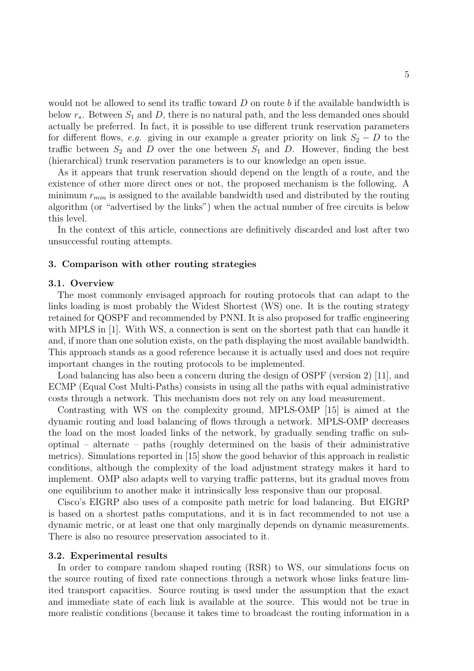would not be allowed to send its traffic toward  $D$  on route  $b$  if the available bandwidth is below  $r_s$ . Between  $S_1$  and D, there is no natural path, and the less demanded ones should actually be preferred. In fact, it is possible to use different trunk reservation parameters for different flows, e.g. giving in our example a greater priority on link  $S_2 - D$  to the traffic between  $S_2$  and D over the one between  $S_1$  and D. However, finding the best (hierarchical) trunk reservation parameters is to our knowledge an open issue.

As it appears that trunk reservation should depend on the length of a route, and the existence of other more direct ones or not, the proposed mechanism is the following. A minimum  $r_{min}$  is assigned to the available bandwidth used and distributed by the routing algorithm (or "advertised by the links") when the actual number of free circuits is below this level.

In the context of this article, connections are definitively discarded and lost after two unsuccessful routing attempts.

### 3. Comparison with other routing strategies

# 3.1. Overview

The most commonly envisaged approach for routing protocols that can adapt to the links loading is most probably the Widest Shortest (WS) one. It is the routing strategy retained for QOSPF and recommended by PNNI. It is also proposed for traffic engineering with MPLS in [1]. With WS, a connection is sent on the shortest path that can handle it and, if more than one solution exists, on the path displaying the most available bandwidth. This approach stands as a good reference because it is actually used and does not require important changes in the routing protocols to be implemented.

Load balancing has also been a concern during the design of OSPF (version 2) [11], and ECMP (Equal Cost Multi-Paths) consists in using all the paths with equal administrative costs through a network. This mechanism does not rely on any load measurement.

Contrasting with WS on the complexity ground, MPLS-OMP [15] is aimed at the dynamic routing and load balancing of flows through a network. MPLS-OMP decreases the load on the most loaded links of the network, by gradually sending traffic on suboptimal – alternate – paths (roughly determined on the basis of their administrative metrics). Simulations reported in [15] show the good behavior of this approach in realistic conditions, although the complexity of the load adjustment strategy makes it hard to implement. OMP also adapts well to varying traffic patterns, but its gradual moves from one equilibrium to another make it intrinsically less responsive than our proposal.

Cisco's EIGRP also uses of a composite path metric for load balancing. But EIGRP is based on a shortest paths computations, and it is in fact recommended to not use a dynamic metric, or at least one that only marginally depends on dynamic measurements. There is also no resource preservation associated to it.

#### 3.2. Experimental results

In order to compare random shaped routing (RSR) to WS, our simulations focus on the source routing of fixed rate connections through a network whose links feature limited transport capacities. Source routing is used under the assumption that the exact and immediate state of each link is available at the source. This would not be true in more realistic conditions (because it takes time to broadcast the routing information in a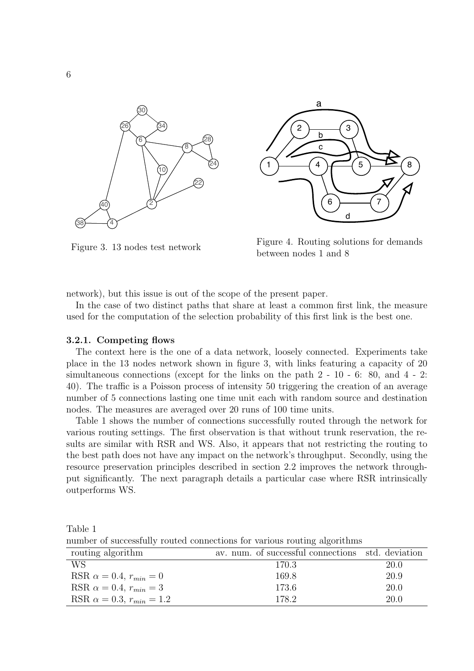

Figure 3. 13 nodes test network



Figure 4. Routing solutions for demands between nodes 1 and 8

network), but this issue is out of the scope of the present paper.

In the case of two distinct paths that share at least a common first link, the measure used for the computation of the selection probability of this first link is the best one.

### 3.2.1. Competing flows

The context here is the one of a data network, loosely connected. Experiments take place in the 13 nodes network shown in figure 3, with links featuring a capacity of 20 simultaneous connections (except for the links on the path  $2 - 10 - 6$ : 80, and  $4 - 2$ : 40). The traffic is a Poisson process of intensity 50 triggering the creation of an average number of 5 connections lasting one time unit each with random source and destination nodes. The measures are averaged over 20 runs of 100 time units.

Table 1 shows the number of connections successfully routed through the network for various routing settings. The first observation is that without trunk reservation, the results are similar with RSR and WS. Also, it appears that not restricting the routing to the best path does not have any impact on the network's throughput. Secondly, using the resource preservation principles described in section 2.2 improves the network throughput significantly. The next paragraph details a particular case where RSR intrinsically outperforms WS.

| number of successfully routed connections for various routing algorithms |                                                   |      |
|--------------------------------------------------------------------------|---------------------------------------------------|------|
| routing algorithm                                                        | av. num. of successful connections std. deviation |      |
| WS.                                                                      | 170.3                                             | 20.0 |
| RSR $\alpha = 0.4$ , $r_{min} = 0$                                       | 169.8                                             | 20.9 |
| RSR $\alpha = 0.4$ , $r_{min} = 3$                                       | 173.6                                             | 20.0 |
| RSR $\alpha = 0.3$ , $r_{min} = 1.2$                                     | 178.2                                             | 20.0 |

Table 1

number of successfully routed connections for various routing algorithms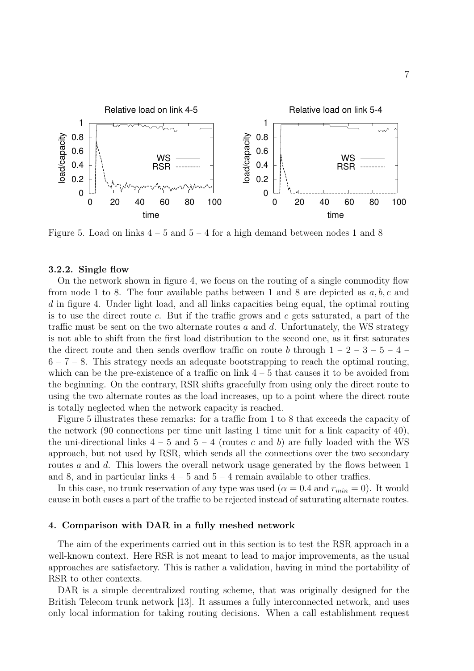

Figure 5. Load on links  $4-5$  and  $5-4$  for a high demand between nodes 1 and 8

#### 3.2.2. Single flow

On the network shown in figure 4, we focus on the routing of a single commodity flow from node 1 to 8. The four available paths between 1 and 8 are depicted as  $a, b, c$  and d in figure 4. Under light load, and all links capacities being equal, the optimal routing is to use the direct route c. But if the traffic grows and c gets saturated, a part of the traffic must be sent on the two alternate routes  $a$  and  $d$ . Unfortunately, the WS strategy is not able to shift from the first load distribution to the second one, as it first saturates the direct route and then sends overflow traffic on route b through  $1 - 2 - 3 - 5 - 4$  $6 - 7 - 8$ . This strategy needs an adequate bootstrapping to reach the optimal routing, which can be the pre-existence of a traffic on link  $4-5$  that causes it to be avoided from the beginning. On the contrary, RSR shifts gracefully from using only the direct route to using the two alternate routes as the load increases, up to a point where the direct route is totally neglected when the network capacity is reached.

Figure 5 illustrates these remarks: for a traffic from 1 to 8 that exceeds the capacity of the network (90 connections per time unit lasting 1 time unit for a link capacity of 40), the uni-directional links  $4-5$  and  $5-4$  (routes c and b) are fully loaded with the WS approach, but not used by RSR, which sends all the connections over the two secondary routes a and d. This lowers the overall network usage generated by the flows between 1 and 8, and in particular links  $4 - 5$  and  $5 - 4$  remain available to other traffics.

In this case, no trunk reservation of any type was used ( $\alpha = 0.4$  and  $r_{min} = 0$ ). It would cause in both cases a part of the traffic to be rejected instead of saturating alternate routes.

#### 4. Comparison with DAR in a fully meshed network

The aim of the experiments carried out in this section is to test the RSR approach in a well-known context. Here RSR is not meant to lead to major improvements, as the usual approaches are satisfactory. This is rather a validation, having in mind the portability of RSR to other contexts.

DAR is a simple decentralized routing scheme, that was originally designed for the British Telecom trunk network [13]. It assumes a fully interconnected network, and uses only local information for taking routing decisions. When a call establishment request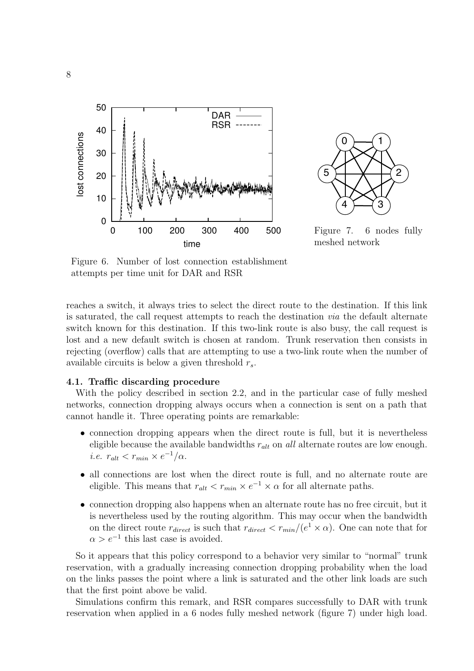



Figure 7. 6 nodes fully meshed network

Figure 6. Number of lost connection establishment attempts per time unit for DAR and RSR

reaches a switch, it always tries to select the direct route to the destination. If this link is saturated, the call request attempts to reach the destination via the default alternate switch known for this destination. If this two-link route is also busy, the call request is lost and a new default switch is chosen at random. Trunk reservation then consists in rejecting (overflow) calls that are attempting to use a two-link route when the number of available circuits is below a given threshold  $r_s$ .

# 4.1. Traffic discarding procedure

With the policy described in section 2.2, and in the particular case of fully meshed networks, connection dropping always occurs when a connection is sent on a path that cannot handle it. Three operating points are remarkable:

- connection dropping appears when the direct route is full, but it is nevertheless eligible because the available bandwidths  $r_{alt}$  on all alternate routes are low enough. *i.e.*  $r_{alt} < r_{min} \times e^{-1}/\alpha$ .
- all connections are lost when the direct route is full, and no alternate route are eligible. This means that  $r_{alt} < r_{min} \times e^{-1} \times \alpha$  for all alternate paths.
- connection dropping also happens when an alternate route has no free circuit, but it is nevertheless used by the routing algorithm. This may occur when the bandwidth on the direct route  $r_{direct}$  is such that  $r_{direct} < r_{min}/(e^1 \times \alpha)$ . One can note that for  $\alpha > e^{-1}$  this last case is avoided.

So it appears that this policy correspond to a behavior very similar to "normal" trunk reservation, with a gradually increasing connection dropping probability when the load on the links passes the point where a link is saturated and the other link loads are such that the first point above be valid.

Simulations confirm this remark, and RSR compares successfully to DAR with trunk reservation when applied in a 6 nodes fully meshed network (figure 7) under high load.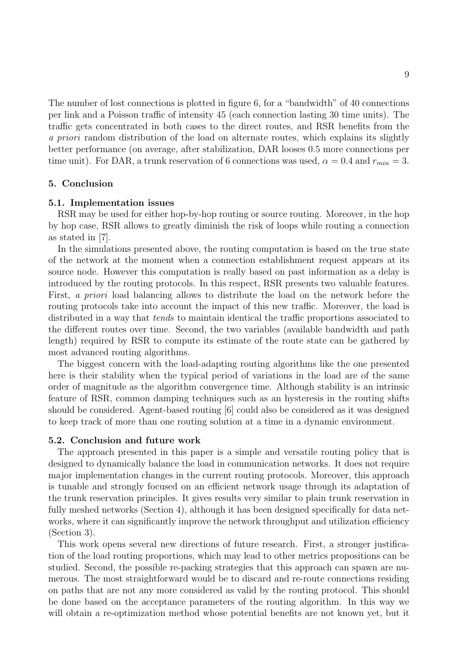The number of lost connections is plotted in figure 6, for a "bandwidth" of 40 connections per link and a Poisson traffic of intensity 45 (each connection lasting 30 time units). The traffic gets concentrated in both cases to the direct routes, and RSR benefits from the a priori random distribution of the load on alternate routes, which explains its slightly better performance (on average, after stabilization, DAR looses 0.5 more connections per time unit). For DAR, a trunk reservation of 6 connections was used,  $\alpha = 0.4$  and  $r_{min} = 3$ .

# 5. Conclusion

#### 5.1. Implementation issues

RSR may be used for either hop-by-hop routing or source routing. Moreover, in the hop by hop case, RSR allows to greatly diminish the risk of loops while routing a connection as stated in [7].

In the simulations presented above, the routing computation is based on the true state of the network at the moment when a connection establishment request appears at its source node. However this computation is really based on past information as a delay is introduced by the routing protocols. In this respect, RSR presents two valuable features. First, a priori load balancing allows to distribute the load on the network before the routing protocols take into account the impact of this new traffic. Moreover, the load is distributed in a way that tends to maintain identical the traffic proportions associated to the different routes over time. Second, the two variables (available bandwidth and path length) required by RSR to compute its estimate of the route state can be gathered by most advanced routing algorithms.

The biggest concern with the load-adapting routing algorithms like the one presented here is their stability when the typical period of variations in the load are of the same order of magnitude as the algorithm convergence time. Although stability is an intrinsic feature of RSR, common damping techniques such as an hysteresis in the routing shifts should be considered. Agent-based routing [6] could also be considered as it was designed to keep track of more than one routing solution at a time in a dynamic environment.

# 5.2. Conclusion and future work

The approach presented in this paper is a simple and versatile routing policy that is designed to dynamically balance the load in communication networks. It does not require major implementation changes in the current routing protocols. Moreover, this approach is tunable and strongly focused on an efficient network usage through its adaptation of the trunk reservation principles. It gives results very similar to plain trunk reservation in fully meshed networks (Section 4), although it has been designed specifically for data networks, where it can significantly improve the network throughput and utilization efficiency (Section 3).

This work opens several new directions of future research. First, a stronger justification of the load routing proportions, which may lead to other metrics propositions can be studied. Second, the possible re-packing strategies that this approach can spawn are numerous. The most straightforward would be to discard and re-route connections residing on paths that are not any more considered as valid by the routing protocol. This should be done based on the acceptance parameters of the routing algorithm. In this way we will obtain a re-optimization method whose potential benefits are not known yet, but it